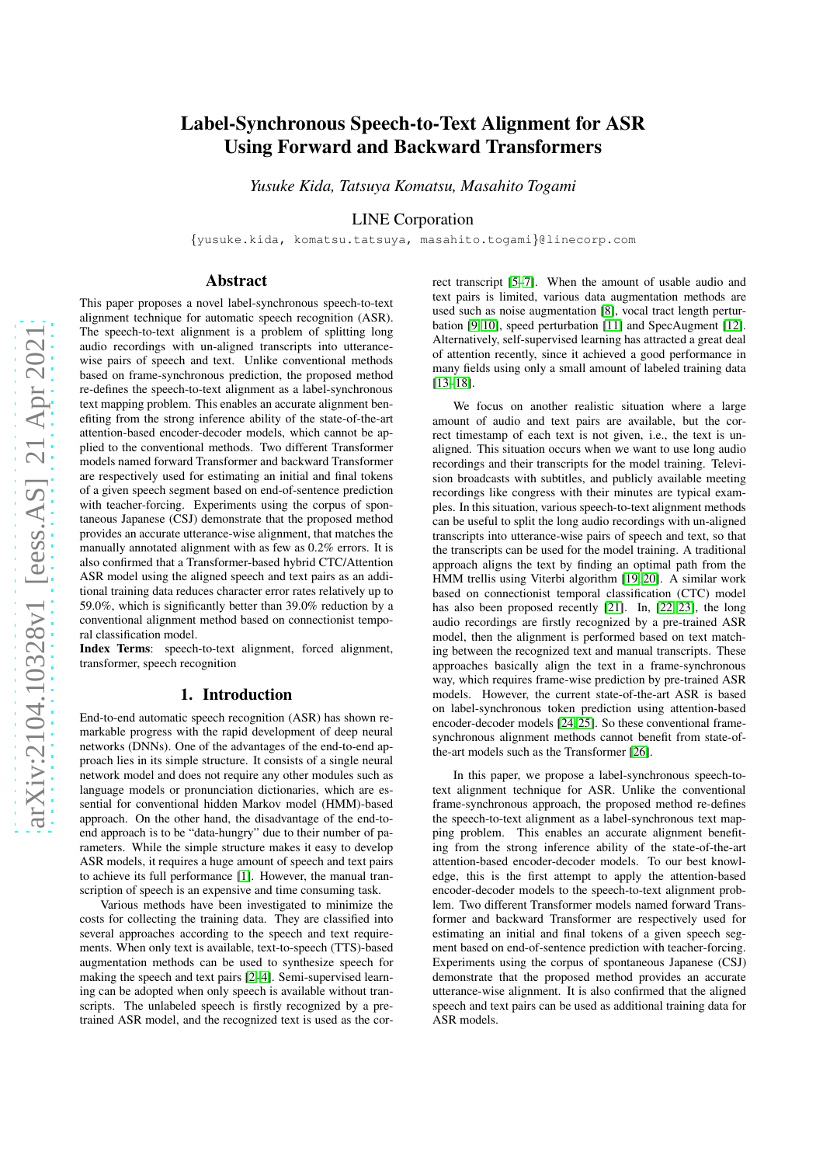# Label-Synchronous Speech-to-Text Alignment for ASR Using Forward and Backward Transformers

*Yusuke Kida, Tatsuya Komatsu, Masahito Togami*

LINE Corporation

{yusuke.kida, komatsu.tatsuya, masahito.togami}@linecorp.com

# Abstract

This paper proposes a novel label-synchronous speech-to-text alignment technique for automatic speech recognition (ASR). The speech-to-text alignment is a problem of splitting long audio recordings with un-aligned transcripts into utterancewise pairs of speech and text. Unlike conventional methods based on frame-synchronous prediction, the proposed method re-defines the speech-to-text alignment as a label-synchronous text mapping problem. This enables an accurate alignment benefiting from the strong inference ability of the state-of-the-art attention-based encoder-decoder models, which cannot be applied to the conventional methods. Two different Transformer models named forward Transformer and backward Transformer are respectively used for estimating an initial and final tokens of a given speech segment based on end-of-sentence prediction with teacher-forcing. Experiments using the corpus of spontaneous Japanese (CSJ) demonstrate that the proposed method provides an accurate utterance-wise alignment, that matches the manually annotated alignment with as few as 0.2% errors. It is also confirmed that a Transformer-based hybrid CTC/Attention ASR model using the aligned speech and text pairs as an additional training data reduces character error rates relatively up to 59.0%, which is significantly better than 39.0% reduction by a conventional alignment method based on connectionist temporal classification model.

Index Terms: speech-to-text alignment, forced alignment, transformer, speech recognition

# 1. Introduction

End-to-end automatic speech recognition (ASR) has shown remarkable progress with the rapid development of deep neural networks (DNNs). One of the advantages of the end-to-end approach lies in its simple structure. It consists of a single neural network model and does not require any other modules such as language models or pronunciation dictionaries, which are essential for conventional hidden Markov model (HMM)-based approach. On the other hand, the disadvantage of the end-toend approach is to be "data-hungry" due to their number of parameters. While the simple structure makes it easy to develop ASR models, it requires a huge amount of speech and text pairs to achieve its full performance [\[1\]](#page-4-0). However, the manual transcription of speech is an expensive and time consuming task.

Various methods have been investigated to minimize the costs for collecting the training data. They are classified into several approaches according to the speech and text requirements. When only text is available, text-to-speech (TTS)-based augmentation methods can be used to synthesize speech for making the speech and text pairs [\[2](#page-4-1)[–4\]](#page-4-2). Semi-supervised learning can be adopted when only speech is available without transcripts. The unlabeled speech is firstly recognized by a pretrained ASR model, and the recognized text is used as the correct transcript [\[5–](#page-4-3)[7\]](#page-4-4). When the amount of usable audio and text pairs is limited, various data augmentation methods are used such as noise augmentation [\[8\]](#page-4-5), vocal tract length perturbation [\[9,](#page-4-6) [10\]](#page-4-7), speed perturbation [\[11\]](#page-4-8) and SpecAugment [\[12\]](#page-4-9). Alternatively, self-supervised learning has attracted a great deal of attention recently, since it achieved a good performance in many fields using only a small amount of labeled training data [\[13–](#page-4-10)[18\]](#page-4-11).

We focus on another realistic situation where a large amount of audio and text pairs are available, but the correct timestamp of each text is not given, i.e., the text is unaligned. This situation occurs when we want to use long audio recordings and their transcripts for the model training. Television broadcasts with subtitles, and publicly available meeting recordings like congress with their minutes are typical examples. In this situation, various speech-to-text alignment methods can be useful to split the long audio recordings with un-aligned transcripts into utterance-wise pairs of speech and text, so that the transcripts can be used for the model training. A traditional approach aligns the text by finding an optimal path from the HMM trellis using Viterbi algorithm [\[19,](#page-4-12) [20\]](#page-4-13). A similar work based on connectionist temporal classification (CTC) model has also been proposed recently [\[21\]](#page-4-14). In, [\[22,](#page-4-15) [23\]](#page-4-16), the long audio recordings are firstly recognized by a pre-trained ASR model, then the alignment is performed based on text matching between the recognized text and manual transcripts. These approaches basically align the text in a frame-synchronous way, which requires frame-wise prediction by pre-trained ASR models. However, the current state-of-the-art ASR is based on label-synchronous token prediction using attention-based encoder-decoder models [\[24,](#page-4-17) [25\]](#page-4-18). So these conventional framesynchronous alignment methods cannot benefit from state-ofthe-art models such as the Transformer [\[26\]](#page-4-19).

In this paper, we propose a label-synchronous speech-totext alignment technique for ASR. Unlike the conventional frame-synchronous approach, the proposed method re-defines the speech-to-text alignment as a label-synchronous text mapping problem. This enables an accurate alignment benefiting from the strong inference ability of the state-of-the-art attention-based encoder-decoder models. To our best knowledge, this is the first attempt to apply the attention-based encoder-decoder models to the speech-to-text alignment problem. Two different Transformer models named forward Transformer and backward Transformer are respectively used for estimating an initial and final tokens of a given speech segment based on end-of-sentence prediction with teacher-forcing. Experiments using the corpus of spontaneous Japanese (CSJ) demonstrate that the proposed method provides an accurate utterance-wise alignment. It is also confirmed that the aligned speech and text pairs can be used as additional training data for ASR models.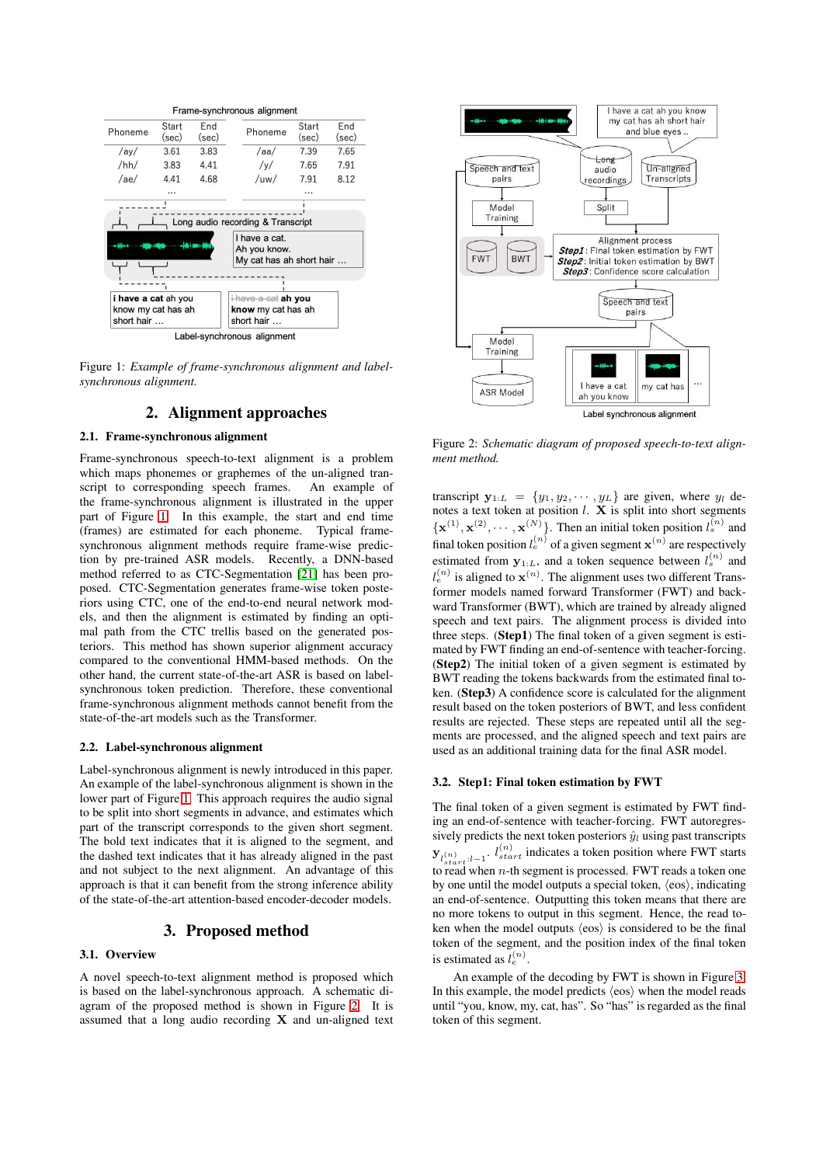<span id="page-1-0"></span>

Label-synchronous alignment

Figure 1: *Example of frame-synchronous alignment and labelsynchronous alignment.*

# 2. Alignment approaches

#### 2.1. Frame-synchronous alignment

Frame-synchronous speech-to-text alignment is a problem which maps phonemes or graphemes of the un-aligned transcript to corresponding speech frames. An example of the frame-synchronous alignment is illustrated in the upper part of Figure [1.](#page-1-0) In this example, the start and end time (frames) are estimated for each phoneme. Typical framesynchronous alignment methods require frame-wise prediction by pre-trained ASR models. Recently, a DNN-based method referred to as CTC-Segmentation [\[21\]](#page-4-14) has been proposed. CTC-Segmentation generates frame-wise token posteriors using CTC, one of the end-to-end neural network models, and then the alignment is estimated by finding an optimal path from the CTC trellis based on the generated posteriors. This method has shown superior alignment accuracy compared to the conventional HMM-based methods. On the other hand, the current state-of-the-art ASR is based on labelsynchronous token prediction. Therefore, these conventional frame-synchronous alignment methods cannot benefit from the state-of-the-art models such as the Transformer.

### 2.2. Label-synchronous alignment

Label-synchronous alignment is newly introduced in this paper. An example of the label-synchronous alignment is shown in the lower part of Figure [1.](#page-1-0) This approach requires the audio signal to be split into short segments in advance, and estimates which part of the transcript corresponds to the given short segment. The bold text indicates that it is aligned to the segment, and the dashed text indicates that it has already aligned in the past and not subject to the next alignment. An advantage of this approach is that it can benefit from the strong inference ability of the state-of-the-art attention-based encoder-decoder models.

# 3. Proposed method

#### 3.1. Overview

A novel speech-to-text alignment method is proposed which is based on the label-synchronous approach. A schematic diagram of the proposed method is shown in Figure [2.](#page-1-1) It is assumed that a long audio recording  $X$  and un-aligned text

<span id="page-1-1"></span>

Figure 2: *Schematic diagram of proposed speech-to-text alignment method.*

transcript  $\mathbf{y}_{1:L} = \{y_1, y_2, \cdots, y_L\}$  are given, where  $y_l$  denotes a text token at position  $l$ .  $\tilde{\mathbf{X}}$  is split into short segments  $\{ \mathbf{x}^{(1)}, \mathbf{x}^{(2)}, \cdots, \mathbf{x}^{(N)} \}$ . Then an initial token position  $l_s^{(n)}$  and final token position  $l_e^{(n)}$  of a given segment  $\mathbf{x}^{(n)}$  are respectively estimated from  $y_{1:L}$ , and a token sequence between  $l_s^{(n)}$  and  $l_e^{(n)}$  is aligned to  $\mathbf{x}^{(n)}$ . The alignment uses two different Transformer models named forward Transformer (FWT) and backward Transformer (BWT), which are trained by already aligned speech and text pairs. The alignment process is divided into three steps. (Step1) The final token of a given segment is estimated by FWT finding an end-of-sentence with teacher-forcing. (Step2) The initial token of a given segment is estimated by BWT reading the tokens backwards from the estimated final token. (Step3) A confidence score is calculated for the alignment result based on the token posteriors of BWT, and less confident results are rejected. These steps are repeated until all the segments are processed, and the aligned speech and text pairs are used as an additional training data for the final ASR model.

### 3.2. Step1: Final token estimation by FWT

The final token of a given segment is estimated by FWT finding an end-of-sentence with teacher-forcing. FWT autoregressively predicts the next token posteriors  $\hat{y}_l$  using past transcripts  $\mathbf{y}_{l_{start}^{(n)}:l-1}$ .  $l_{start}^{(n)}$  indicates a token position where FWT starts to read when  $n$ -th segment is processed. FWT reads a token one by one until the model outputs a special token,  $\langle \cos \rangle$ , indicating an end-of-sentence. Outputting this token means that there are no more tokens to output in this segment. Hence, the read token when the model outputs  $\langle \cos \rangle$  is considered to be the final token of the segment, and the position index of the final token is estimated as  $l_e^{(n)}$ .

An example of the decoding by FWT is shown in Figure [3.](#page-2-0) In this example, the model predicts  $\langle \cos \rangle$  when the model reads until "you, know, my, cat, has". So "has" is regarded as the final token of this segment.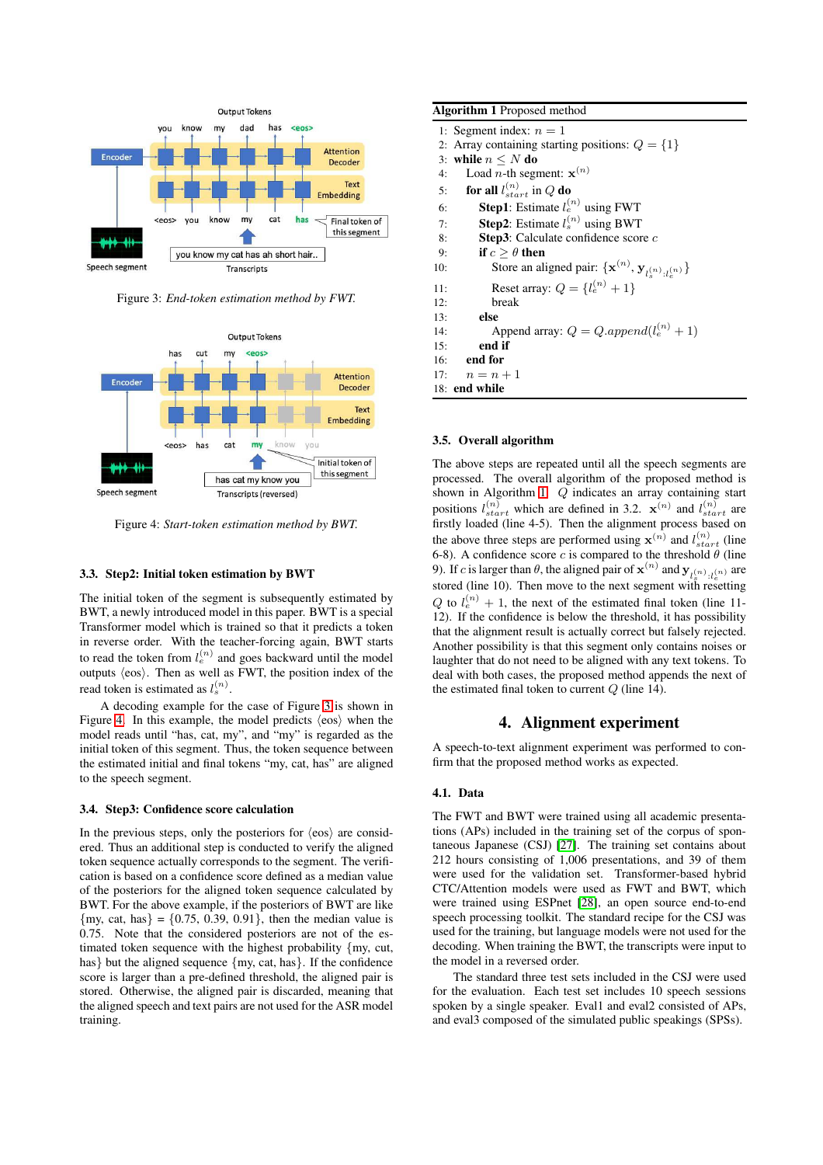<span id="page-2-0"></span>

Figure 3: *End-token estimation method by FWT.*

<span id="page-2-1"></span>

Figure 4: *Start-token estimation method by BWT.*

#### 3.3. Step2: Initial token estimation by BWT

The initial token of the segment is subsequently estimated by BWT, a newly introduced model in this paper. BWT is a special Transformer model which is trained so that it predicts a token in reverse order. With the teacher-forcing again, BWT starts to read the token from  $l_e^{(n)}$  and goes backward until the model outputs  $\langle \cos \rangle$ . Then as well as FWT, the position index of the read token is estimated as  $l_s^{(n)}$ .

A decoding example for the case of Figure [3](#page-2-0) is shown in Figure [4.](#page-2-1) In this example, the model predicts  $\langle \cos \rangle$  when the model reads until "has, cat, my", and "my" is regarded as the initial token of this segment. Thus, the token sequence between the estimated initial and final tokens "my, cat, has" are aligned to the speech segment.

#### 3.4. Step3: Confidence score calculation

In the previous steps, only the posteriors for  $\langle \cos \rangle$  are considered. Thus an additional step is conducted to verify the aligned token sequence actually corresponds to the segment. The verification is based on a confidence score defined as a median value of the posteriors for the aligned token sequence calculated by BWT. For the above example, if the posteriors of BWT are like  ${my, cat, has} = {0.75, 0.39, 0.91}$ , then the median value is 0.75. Note that the considered posteriors are not of the estimated token sequence with the highest probability {my, cut, has} but the aligned sequence {my, cat, has}. If the confidence score is larger than a pre-defined threshold, the aligned pair is stored. Otherwise, the aligned pair is discarded, meaning that the aligned speech and text pairs are not used for the ASR model training.

<span id="page-2-2"></span>

| <b>Algorithm 1</b> Proposed method                  |                                                                                   |  |  |  |  |
|-----------------------------------------------------|-----------------------------------------------------------------------------------|--|--|--|--|
| 1: Segment index: $n = 1$                           |                                                                                   |  |  |  |  |
| 2: Array containing starting positions: $Q = \{1\}$ |                                                                                   |  |  |  |  |
| 3: while $n \leq N$ do                              |                                                                                   |  |  |  |  |
| Load <i>n</i> -th segment: $\mathbf{x}^{(n)}$<br>4: |                                                                                   |  |  |  |  |
| for all $l_{start}^{(n)}$ in Q do<br>5:             |                                                                                   |  |  |  |  |
| <b>Step1</b> : Estimate $l_e^{(n)}$ using FWT<br>6: |                                                                                   |  |  |  |  |
| <b>Step2</b> : Estimate $l_s^{(n)}$ using BWT<br>7: |                                                                                   |  |  |  |  |
| <b>Step3</b> : Calculate confidence score $c$<br>8: |                                                                                   |  |  |  |  |
| if $c > \theta$ then<br>9:                          |                                                                                   |  |  |  |  |
| 10:                                                 | Store an aligned pair: $\{ \mathbf{x}^{(n)}, \mathbf{y}_{l_n^{(n)},l_n^{(n)}} \}$ |  |  |  |  |
| Reset array: $Q = \{l_e^{(n)} + 1\}$<br>11:         |                                                                                   |  |  |  |  |
| break<br>12:                                        |                                                                                   |  |  |  |  |
| else<br>13:                                         |                                                                                   |  |  |  |  |
| 14:                                                 | Append array: $Q = Q.append(l_e^{(n)} + 1)$                                       |  |  |  |  |
| end if<br>15:                                       |                                                                                   |  |  |  |  |
| end for<br>16:                                      |                                                                                   |  |  |  |  |
| 17: $n = n + 1$                                     |                                                                                   |  |  |  |  |
| 18: end while                                       |                                                                                   |  |  |  |  |

#### 3.5. Overall algorithm

The above steps are repeated until all the speech segments are processed. The overall algorithm of the proposed method is shown in Algorithm [1.](#page-2-2) Q indicates an array containing start positions  $l_{start}^{(n)}$  which are defined in 3.2.  $\mathbf{x}^{(n)}$  and  $l_{start}^{(n)}$  are firstly loaded (line 4-5). Then the alignment process based on the above three steps are performed using  $\mathbf{x}^{(n)}$  and  $l_{start}^{(n)}$  (line 6-8). A confidence score c is compared to the threshold  $\theta$  (line 9). If c is larger than  $\theta$ , the aligned pair of  $\mathbf{x}^{(n)}$  and  $\mathbf{y}_{l_s^{(n)}:l_e^{(n)}}$  are stored (line 10). Then move to the next segment with resetting  $Q$  to  $l_e^{(n)} + 1$ , the next of the estimated final token (line 11-12). If the confidence is below the threshold, it has possibility that the alignment result is actually correct but falsely rejected. Another possibility is that this segment only contains noises or laughter that do not need to be aligned with any text tokens. To deal with both cases, the proposed method appends the next of the estimated final token to current  $Q$  (line 14).

# 4. Alignment experiment

A speech-to-text alignment experiment was performed to confirm that the proposed method works as expected.

# 4.1. Data

The FWT and BWT were trained using all academic presentations (APs) included in the training set of the corpus of spontaneous Japanese (CSJ) [\[27\]](#page-4-20). The training set contains about 212 hours consisting of 1,006 presentations, and 39 of them were used for the validation set. Transformer-based hybrid CTC/Attention models were used as FWT and BWT, which were trained using ESPnet [\[28\]](#page-4-21), an open source end-to-end speech processing toolkit. The standard recipe for the CSJ was used for the training, but language models were not used for the decoding. When training the BWT, the transcripts were input to the model in a reversed order.

The standard three test sets included in the CSJ were used for the evaluation. Each test set includes 10 speech sessions spoken by a single speaker. Eval1 and eval2 consisted of APs, and eval3 composed of the simulated public speakings (SPSs).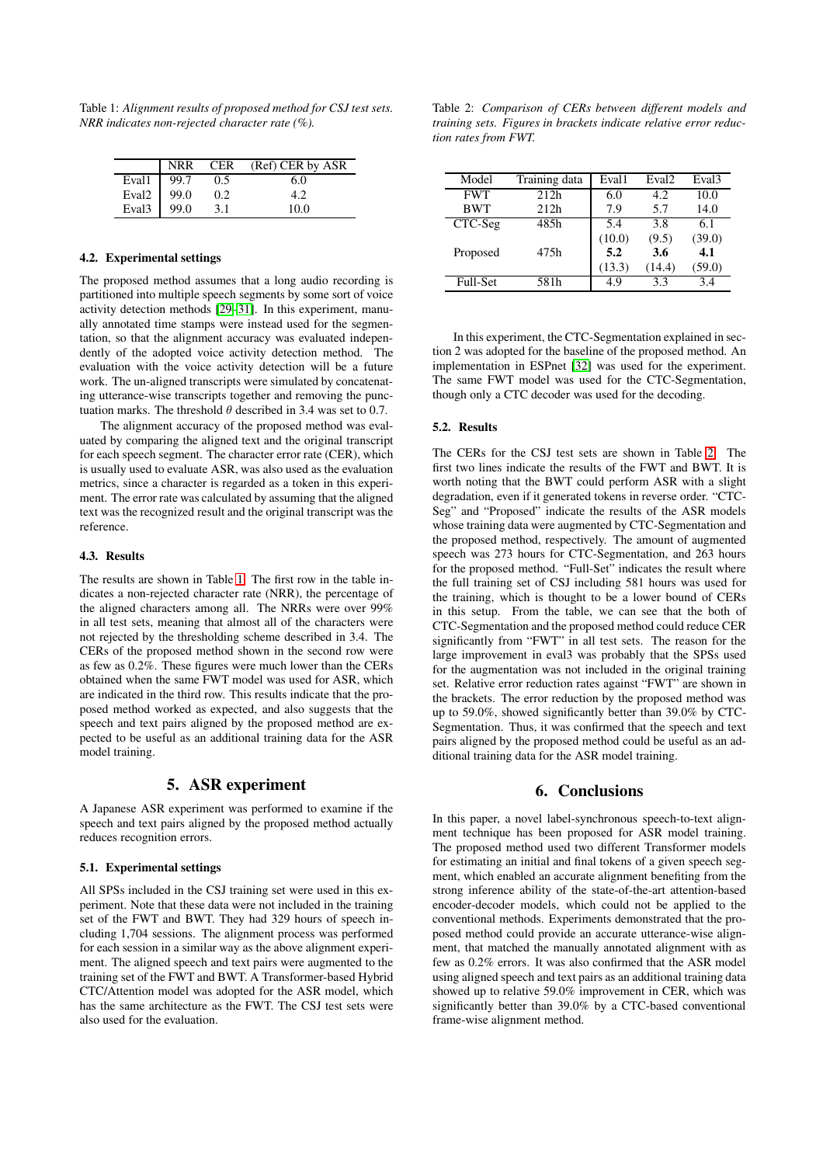<span id="page-3-0"></span>Table 1: *Alignment results of proposed method for CSJ test sets. NRR indicates non-rejected character rate (%).*

|                   | NRR  | <b>CER</b> | (Ref) CER by ASR |
|-------------------|------|------------|------------------|
| Eval1             | 99.7 | 0.5        | 6.0              |
| Eval <sub>2</sub> | 99.0 | 0.2        |                  |
| Eval <sub>3</sub> | 99.0 | 3.1        | 10.0             |

#### 4.2. Experimental settings

The proposed method assumes that a long audio recording is partitioned into multiple speech segments by some sort of voice activity detection methods [\[29–](#page-4-22)[31\]](#page-4-23). In this experiment, manually annotated time stamps were instead used for the segmentation, so that the alignment accuracy was evaluated independently of the adopted voice activity detection method. The evaluation with the voice activity detection will be a future work. The un-aligned transcripts were simulated by concatenating utterance-wise transcripts together and removing the punctuation marks. The threshold  $\theta$  described in 3.4 was set to 0.7.

The alignment accuracy of the proposed method was evaluated by comparing the aligned text and the original transcript for each speech segment. The character error rate (CER), which is usually used to evaluate ASR, was also used as the evaluation metrics, since a character is regarded as a token in this experiment. The error rate was calculated by assuming that the aligned text was the recognized result and the original transcript was the reference.

### 4.3. Results

The results are shown in Table [1.](#page-3-0) The first row in the table indicates a non-rejected character rate (NRR), the percentage of the aligned characters among all. The NRRs were over 99% in all test sets, meaning that almost all of the characters were not rejected by the thresholding scheme described in 3.4. The CERs of the proposed method shown in the second row were as few as 0.2%. These figures were much lower than the CERs obtained when the same FWT model was used for ASR, which are indicated in the third row. This results indicate that the proposed method worked as expected, and also suggests that the speech and text pairs aligned by the proposed method are expected to be useful as an additional training data for the ASR model training.

# 5. ASR experiment

A Japanese ASR experiment was performed to examine if the speech and text pairs aligned by the proposed method actually reduces recognition errors.

#### 5.1. Experimental settings

All SPSs included in the CSJ training set were used in this experiment. Note that these data were not included in the training set of the FWT and BWT. They had 329 hours of speech including 1,704 sessions. The alignment process was performed for each session in a similar way as the above alignment experiment. The aligned speech and text pairs were augmented to the training set of the FWT and BWT. A Transformer-based Hybrid CTC/Attention model was adopted for the ASR model, which has the same architecture as the FWT. The CSJ test sets were also used for the evaluation.

<span id="page-3-1"></span>Table 2: *Comparison of CERs between different models and training sets. Figures in brackets indicate relative error reduction rates from FWT.*

| Model      | Training data | Eval1  | Eval <sub>2</sub> | Eval <sub>3</sub> |
|------------|---------------|--------|-------------------|-------------------|
| <b>FWT</b> | 212h          | 6.0    | 4.2.              | 10.0              |
| <b>BWT</b> | 212h          | 7.9    | 5.7               | 14.0              |
| CTC-Seg    | 48.5h         | 5.4    | 3.8               | 6.1               |
|            |               | (10.0) | (9.5)             | (39.0)            |
| Proposed   | 475h          | 5.2    | 3.6               | 4.1               |
|            |               | (13.3) | (14.4)            | (59.0)            |
| Full-Set   | 581h          | 4.9    | 3.3               | 3.4               |

In this experiment, the CTC-Segmentation explained in section 2 was adopted for the baseline of the proposed method. An implementation in ESPnet [\[32\]](#page-4-24) was used for the experiment. The same FWT model was used for the CTC-Segmentation, though only a CTC decoder was used for the decoding.

#### 5.2. Results

The CERs for the CSJ test sets are shown in Table [2.](#page-3-1) The first two lines indicate the results of the FWT and BWT. It is worth noting that the BWT could perform ASR with a slight degradation, even if it generated tokens in reverse order. "CTC-Seg" and "Proposed" indicate the results of the ASR models whose training data were augmented by CTC-Segmentation and the proposed method, respectively. The amount of augmented speech was 273 hours for CTC-Segmentation, and 263 hours for the proposed method. "Full-Set" indicates the result where the full training set of CSJ including 581 hours was used for the training, which is thought to be a lower bound of CERs in this setup. From the table, we can see that the both of CTC-Segmentation and the proposed method could reduce CER significantly from "FWT" in all test sets. The reason for the large improvement in eval3 was probably that the SPSs used for the augmentation was not included in the original training set. Relative error reduction rates against "FWT" are shown in the brackets. The error reduction by the proposed method was up to 59.0%, showed significantly better than 39.0% by CTC-Segmentation. Thus, it was confirmed that the speech and text pairs aligned by the proposed method could be useful as an additional training data for the ASR model training.

## 6. Conclusions

In this paper, a novel label-synchronous speech-to-text alignment technique has been proposed for ASR model training. The proposed method used two different Transformer models for estimating an initial and final tokens of a given speech segment, which enabled an accurate alignment benefiting from the strong inference ability of the state-of-the-art attention-based encoder-decoder models, which could not be applied to the conventional methods. Experiments demonstrated that the proposed method could provide an accurate utterance-wise alignment, that matched the manually annotated alignment with as few as 0.2% errors. It was also confirmed that the ASR model using aligned speech and text pairs as an additional training data showed up to relative 59.0% improvement in CER, which was significantly better than 39.0% by a CTC-based conventional frame-wise alignment method.